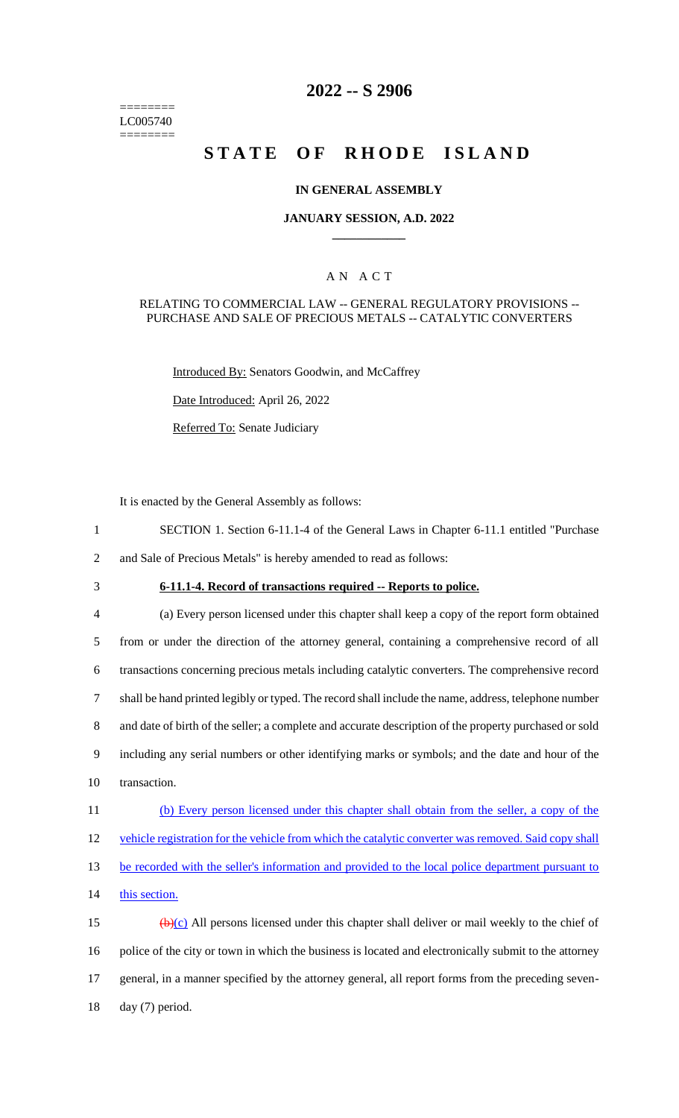======== LC005740 ========

## **2022 -- S 2906**

# **STATE OF RHODE ISLAND**

### **IN GENERAL ASSEMBLY**

### **JANUARY SESSION, A.D. 2022 \_\_\_\_\_\_\_\_\_\_\_\_**

### A N A C T

#### RELATING TO COMMERCIAL LAW -- GENERAL REGULATORY PROVISIONS -- PURCHASE AND SALE OF PRECIOUS METALS -- CATALYTIC CONVERTERS

Introduced By: Senators Goodwin, and McCaffrey

Date Introduced: April 26, 2022

Referred To: Senate Judiciary

It is enacted by the General Assembly as follows:

- 1 SECTION 1. Section 6-11.1-4 of the General Laws in Chapter 6-11.1 entitled "Purchase 2 and Sale of Precious Metals" is hereby amended to read as follows:
- 
- 

## 3 **6-11.1-4. Record of transactions required -- Reports to police.**

 (a) Every person licensed under this chapter shall keep a copy of the report form obtained from or under the direction of the attorney general, containing a comprehensive record of all transactions concerning precious metals including catalytic converters. The comprehensive record shall be hand printed legibly or typed. The record shall include the name, address, telephone number and date of birth of the seller; a complete and accurate description of the property purchased or sold including any serial numbers or other identifying marks or symbols; and the date and hour of the transaction. (b) Every person licensed under this chapter shall obtain from the seller, a copy of the 12 vehicle registration for the vehicle from which the catalytic converter was removed. Said copy shall 13 be recorded with the seller's information and provided to the local police department pursuant to

14 this section.

 $\left(\frac{b}{c}\right)$  All persons licensed under this chapter shall deliver or mail weekly to the chief of police of the city or town in which the business is located and electronically submit to the attorney general, in a manner specified by the attorney general, all report forms from the preceding seven-day (7) period.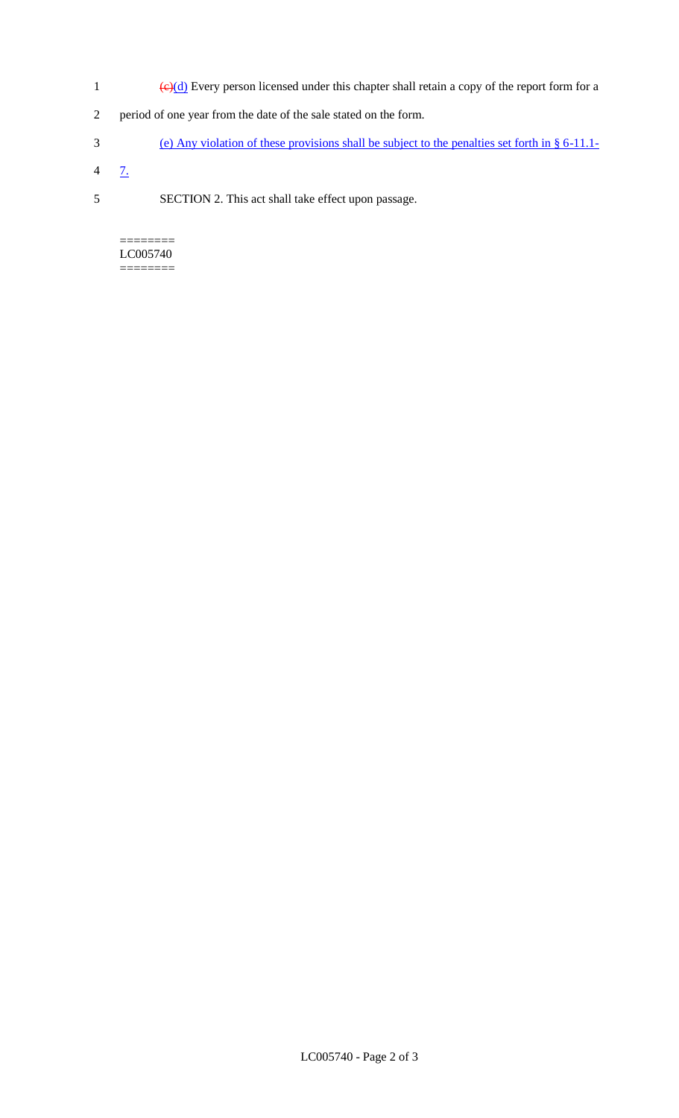- 1 ( $\Theta(d)$  Every person licensed under this chapter shall retain a copy of the report form for a
- 2 period of one year from the date of the sale stated on the form.
- 3 (e) Any violation of these provisions shall be subject to the penalties set forth in § 6-11.1-
- $4 \frac{7}{2}$
- 5 SECTION 2. This act shall take effect upon passage.

======== LC005740 ========